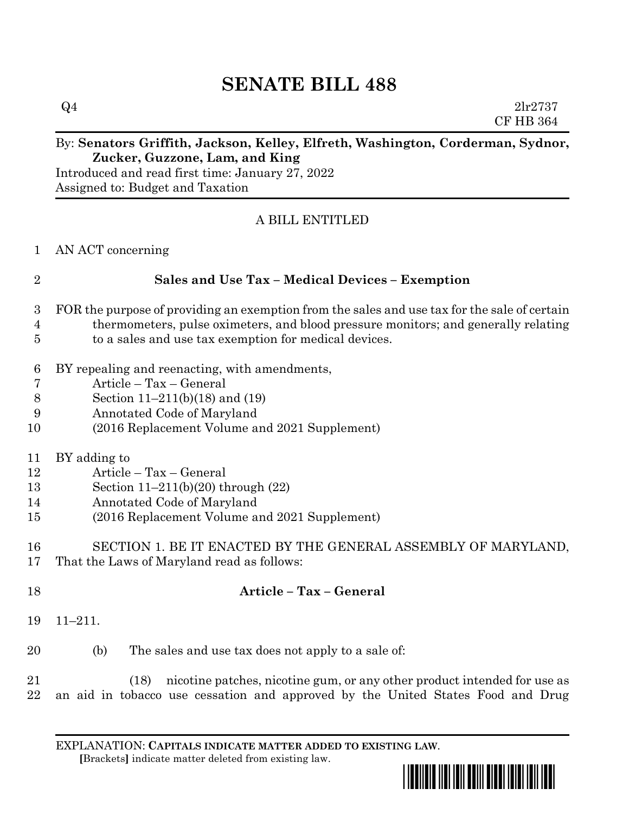## **SENATE BILL 488**

 $Q4$  2lr2737 CF HB 364

## By: **Senators Griffith, Jackson, Kelley, Elfreth, Washington, Corderman, Sydnor, Zucker, Guzzone, Lam, and King**

Introduced and read first time: January 27, 2022 Assigned to: Budget and Taxation

## A BILL ENTITLED

AN ACT concerning

| $\overline{2}$                     | <b>Sales and Use Tax - Medical Devices - Exemption</b>                                                                                                                             |
|------------------------------------|------------------------------------------------------------------------------------------------------------------------------------------------------------------------------------|
| $\boldsymbol{3}$<br>$\overline{4}$ | FOR the purpose of providing an exemption from the sales and use tax for the sale of certain<br>thermometers, pulse oximeters, and blood pressure monitors; and generally relating |
| 5                                  | to a sales and use tax exemption for medical devices.                                                                                                                              |
| $\boldsymbol{6}$                   | BY repealing and reenacting, with amendments,                                                                                                                                      |
| $\overline{7}$                     | Article - Tax - General                                                                                                                                                            |
| $8\,$                              | Section 11–211(b)(18) and (19)                                                                                                                                                     |
| 9                                  | Annotated Code of Maryland                                                                                                                                                         |
| 10                                 | (2016 Replacement Volume and 2021 Supplement)                                                                                                                                      |
| 11                                 | BY adding to                                                                                                                                                                       |
| 12                                 | Article - Tax - General                                                                                                                                                            |
| 13                                 | Section $11-211(b)(20)$ through $(22)$                                                                                                                                             |
| 14                                 | Annotated Code of Maryland                                                                                                                                                         |
| 15                                 | (2016 Replacement Volume and 2021 Supplement)                                                                                                                                      |
| 16                                 | SECTION 1. BE IT ENACTED BY THE GENERAL ASSEMBLY OF MARYLAND,                                                                                                                      |
| 17                                 | That the Laws of Maryland read as follows:                                                                                                                                         |
| 18                                 | Article - Tax - General                                                                                                                                                            |
| 19                                 | $11 - 211.$                                                                                                                                                                        |
| 20                                 | The sales and use tax does not apply to a sale of:<br>(b)                                                                                                                          |
| 21<br>22                           | nicotine patches, nicotine gum, or any other product intended for use as<br>(18)<br>an aid in tobacco use cessation and approved by the United States Food and Drug                |